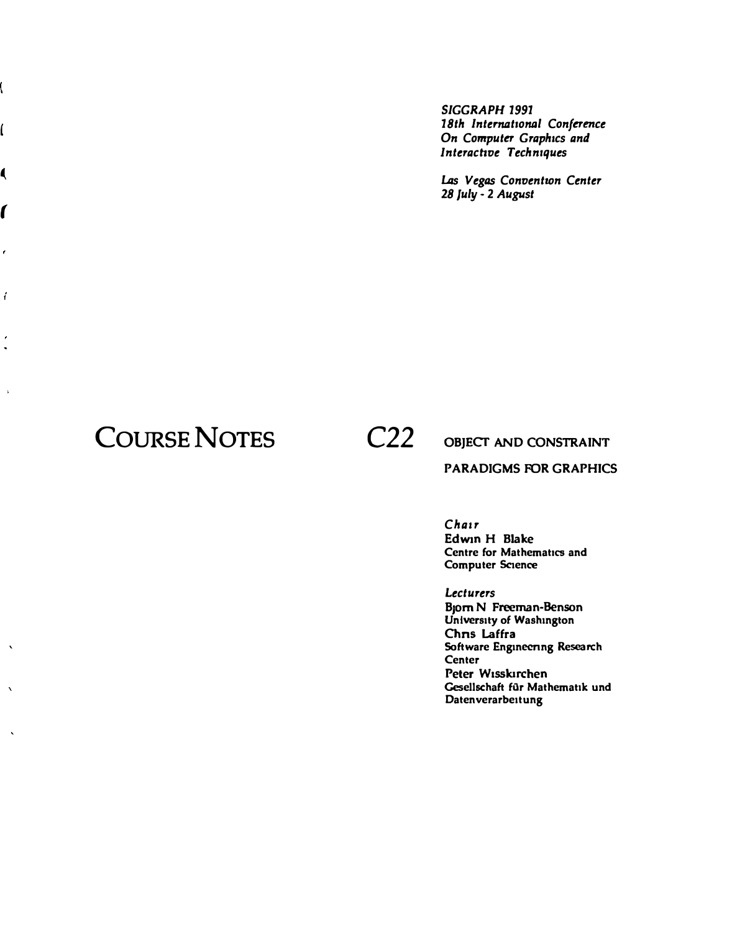*SIGGRAPH 1991 18th International Conference On Computer Graphics and lnterachve Techniques* 

*Las Vegas Conventwn Center 28 July* - **2** *August* 

## **COURSE NOTES C22**

*(* 

 $\cdot$ 

 $\acute{\rm{t}}$ 

ŕ  $\ddot{\phantom{a}}$ 

 $\bar{\mathbf{r}}$ 

 $\overline{\mathbf{r}}$ 

ĺ

ĺ

### **OBJECT AND CONSTRAINT PARADIGMS FOR GRAPHICS**

*Chair*  **Edwin H Blake Centre for Mathematics and Computer Science** 

*Lecturers*  **B1om N Freeman-Benson University of Washington Chns Laffra Software Enginecnng Research Center Peter W1sskirchen Gesellschaft filr Mathematik und Datenverarbeitung**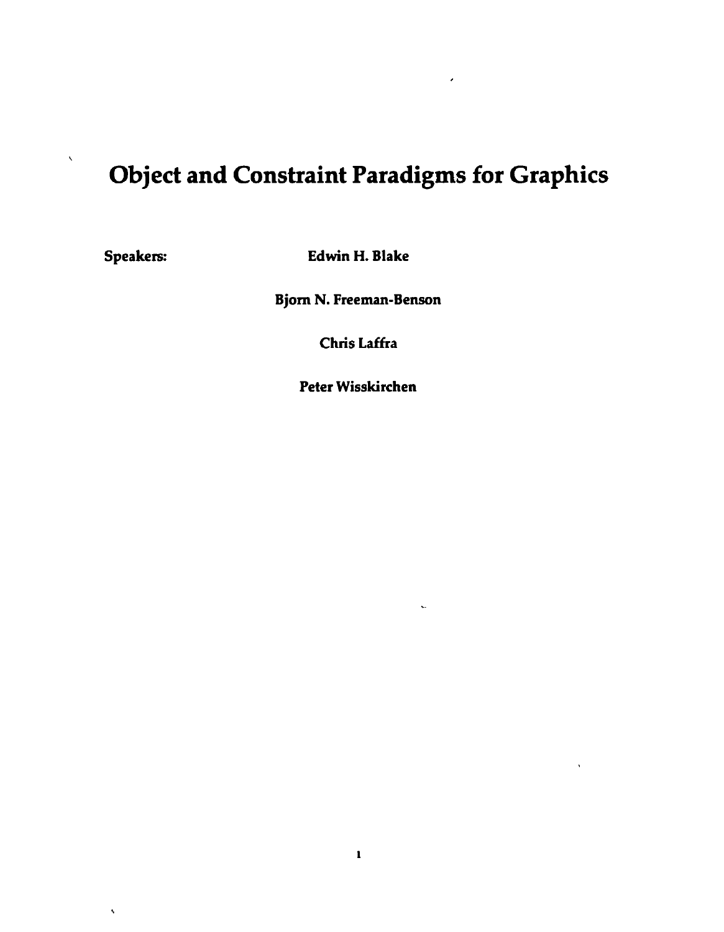# Object and Constraint Paradigms for Graphics

 $\hat{\mathbf{A}}$ 

 $\bar{\lambda}$ 

Speakers: Edwin H. Blake

Bjorn N. Freeman-Benson

Chris Laffra

Peter Wisskirchen

 $\ddot{\phantom{0}}$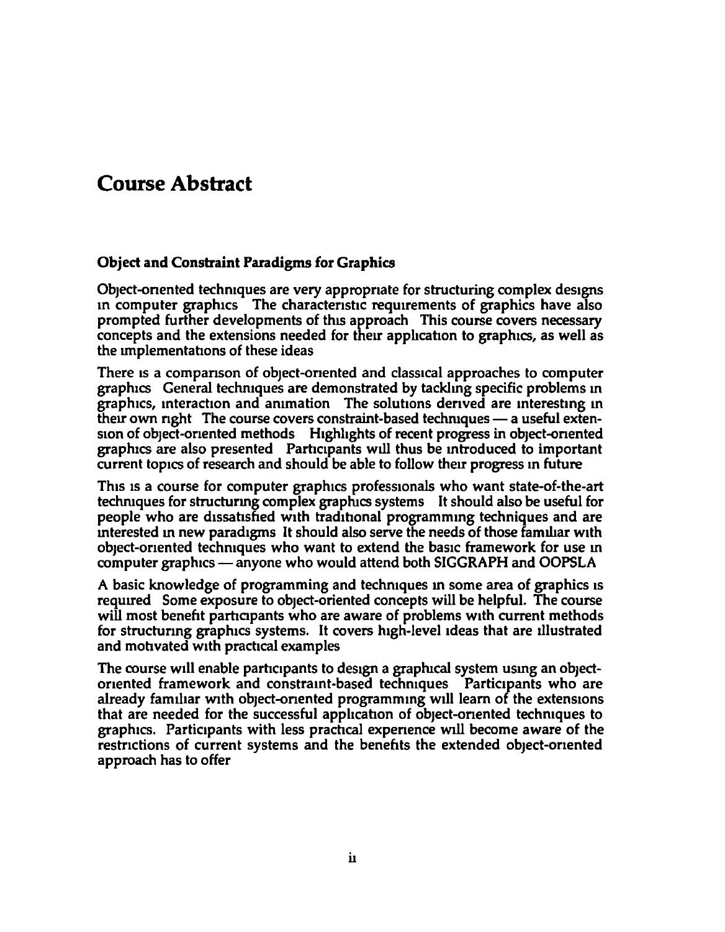### **Course Abstract**

### Object and Constraint Paradigms for Graphics

Object-oriented techniques are very appropriate for structuring complex designs in computer graphics The characteristic requirements of graphics have also prompted further developments of this approach This course covers necessary concepts and the extensions needed for their application to graphics, as well as the Implementations of these ideas

There is a comparison of object-oriented and classical approaches to computer graphics General techniques are demonstrated by tackhng specific problems m graphics, interaction and animation The solutions derived are interesting in their own right The course covers constraint-based techniques — a useful exten-Sion of obJect-onented methods Htghhghts of recent progress in object-onented graphtcs are also presented Parhctpants will thus be mtroduced to important current topics of research and should be able to follow their progress in future

This is a course for computer graphics professionals who want state-of-the-art techruques for structurmg complex graphics systems It should also be useful for people who are dissatisfied with traditional programming techniques and are mterested m new paradtgms It should also serve the needs of those familiar wtth object-onented techmques who want to extend the baste framework for use m computer graphics — anyone who would attend both SIGGRAPH and OOPSLA

A basic knowledge of programming and techniques in some area of graphics is requued Some exposure to object-oriented concepts will be helpful. The course will most benefit participants who are aware of problems with current methods for structuring graphics systems. It covers high-level ideas that are illustrated and motivated with practical examples

The course will enable participants to design a graphical system using an objectoriented framework and constraint-based techniques Participants who are already familiar with object-oriented programming will learn of the extensions that are needed for the successful application of object-oriented techniques to graphtcs. Partictpants with less prachcal expenence will become aware of the restnctions of current systems and the benefits the extended object-onented approach has to offer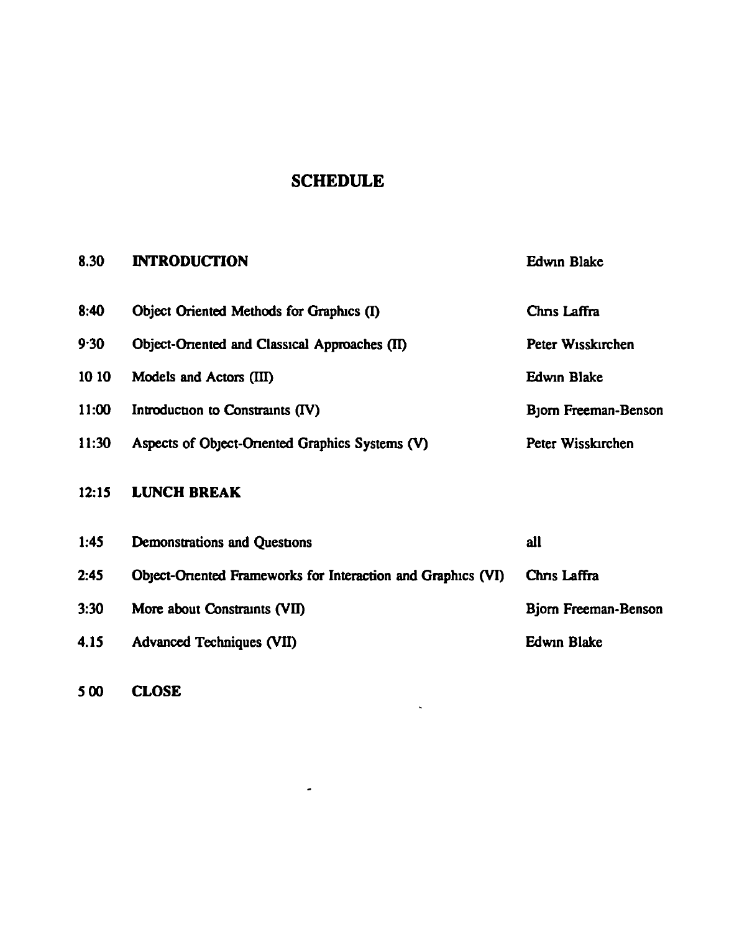### SCHEDULE

### 8.30 INTRODUCTION Edwin Blake

| 8:40  | Object Oriented Methods for Graphics (I)                     | Chns Laffra          |
|-------|--------------------------------------------------------------|----------------------|
| 9.30  | Object-Oriented and Classical Approaches (II)                | Peter Wisskirchen    |
| 10 10 | Models and Actors (III)                                      | <b>Edwin Blake</b>   |
| 11:00 | Introduction to Constraints (IV)                             | Bjorn Freeman-Benson |
| 11:30 | Aspects of Object-Oriented Graphics Systems (V)              | Peter Wisskirchen    |
| 12:15 | <b>LUNCH BREAK</b>                                           |                      |
| 1:45  | <b>Demonstrations and Questions</b>                          | all                  |
| 2:45  | Object-Oriented Frameworks for Interaction and Graphics (VI) | Chris Laffra         |

 $\mathbf{L}$ 

3:30 More about Constraints (VII) Bjorn Freeman-Benson

4.15 Advanced Techniques (VII) Edwin Blake

 $\omega$ 

500 CLOSE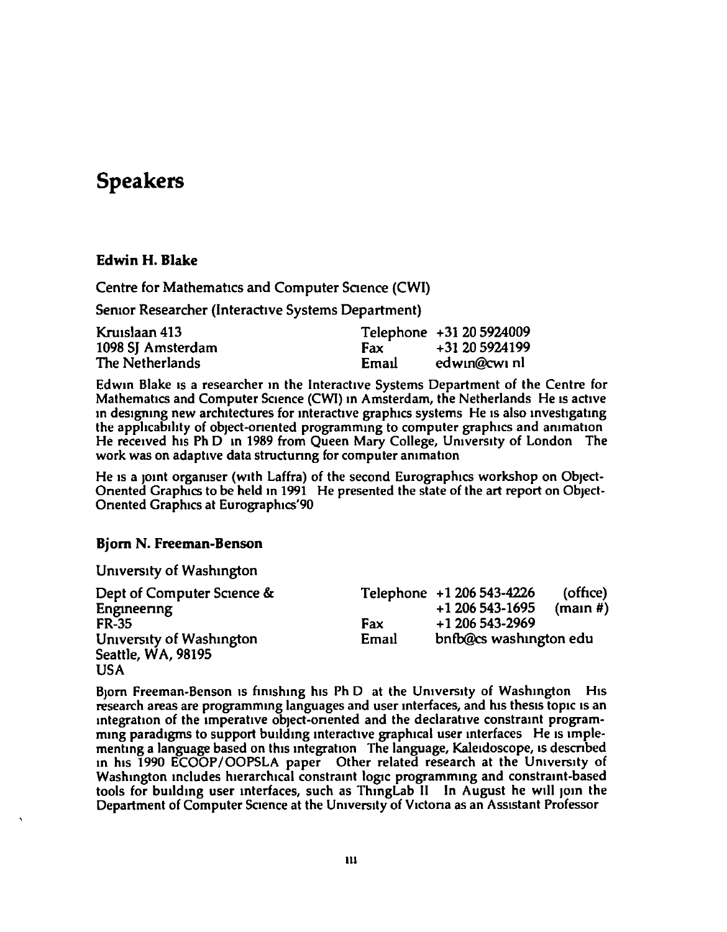### **Speakers**

#### **Edwin H. Blake**

Centre for Mathematics and Computer Science (CWI)

Senior Researcher (Interactive Systems Department)

| Kruislaan 413     |       | Telephone +31 20 5924009 |
|-------------------|-------|--------------------------|
| 1098 SJ Amsterdam | Fax.  | +31 20 5924199           |
| The Netherlands   | Email | edwin@cwinl              |

Edwin Blake is a researcher in the Interactive Systems Department of the Centre for Mathematics and Computer Science (CWI) in Amsterdam, the Netherlands He is active in designing new architectures for interactive graphics systems. He is also investigating the applicability of object-oriented programming to computer graphics and animation He received his Ph D in 1989 from Queen Mary College, University of London The work was on adaptive data structuring for computer animation

He is a joint organiser (with Laffra) of the second Eurographics workshop on Object-Oriented Graphics to be held in 1991 He presented the state of the art report on Object-**Oriented Graphics at Eurographics'90** 

#### **Bjorn N. Freeman-Benson**

University of Washington

| Dept of Computer Science & |       | Telephone +1 206 543-4226 | (office)            |
|----------------------------|-------|---------------------------|---------------------|
| Engineering                |       | +1 206 543-1695           | $(\text{main } \#)$ |
| <b>FR-35</b>               | Fax   | +1 206 543-2969           |                     |
| University of Washington   | Email | bnfb@cs washington edu    |                     |
| Seattle, WA, 98195         |       |                           |                     |
| <b>USA</b>                 |       |                           |                     |

Bjorn Freeman-Benson is finishing his Ph D at the University of Washington His research areas are programming languages and user interfaces, and his thesis topic is an integration of the imperative object-oriented and the declarative constraint programming paradigms to support building interactive graphical user interfaces. He is implementing a language based on this integration The language, Kaleidoscope, is described in his 1990 ECOOP/OOPSLA paper Other related research at the University of Washington includes hierarchical constraint logic programming and constraint-based tools for building user interfaces, such as ThingLab II In August he will join the Department of Computer Science at the University of Victoria as an Assistant Professor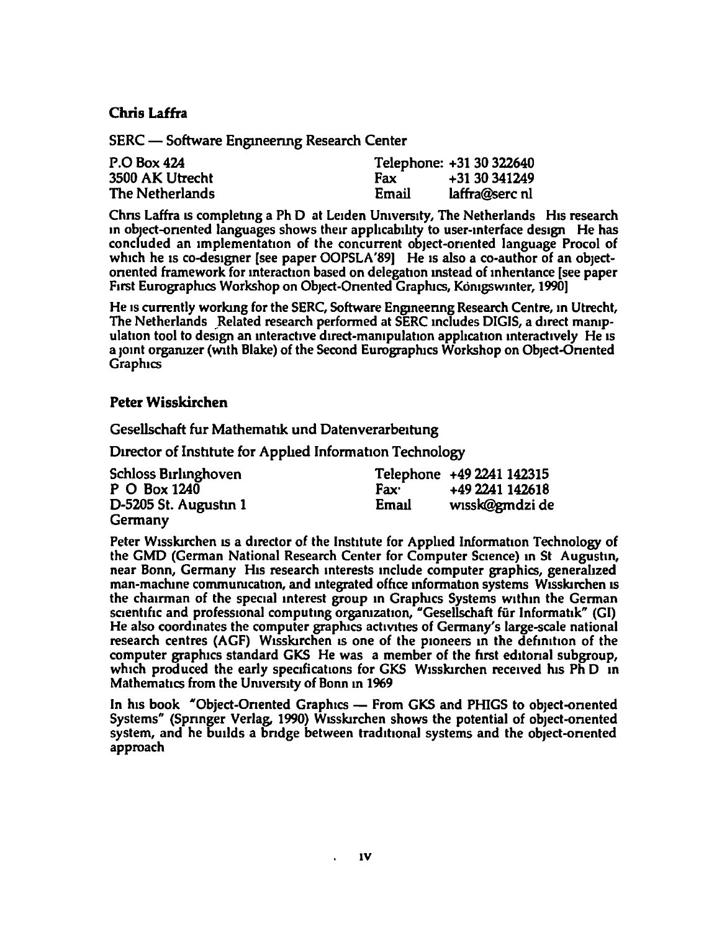#### **Chris Laffra**

SERC — Software Engineering Research Center

| P.O Box 424     |            | Telephone: +31 30 322640 |
|-----------------|------------|--------------------------|
| 3500 AK Utrecht | <b>Fax</b> | +31 30 341249            |
| The Netherlands | Email      | laffra@serc nl           |

Chris Laffra is completing a Ph D at Leiden University, The Netherlands His research in object-oriented languages shows their applicability to user-interface design He has concluded an implementation of the concurrent object-oriented language Procol of which he is co-designer [see paper OOPSLA'89] He is also a co-author of an objectoriented framework for interaction based on delegation instead of inheritance [see paper] First Eurographics Workshop on Object-Oriented Graphics, Königswinter, 1990]

He is currently working for the SERC, Software Engineering Research Centre, in Utrecht, The Netherlands Related research performed at SERC includes DIGIS, a direct manipulation tool to design an interactive direct-manipulation application interactively He is a joint organizer (with Blake) of the Second Eurographics Workshop on Object-Oriented **Graphics** 

#### **Peter Wisskirchen**

Gesellschaft fur Mathematik und Datenverarbeitung

Director of Institute for Applied Information Technology

| <b>Schloss Birlinghoven</b> |                  | Telephone +49 2241 142315 |
|-----------------------------|------------------|---------------------------|
| P O Box 1240                | Fax <sup>.</sup> | +49 2241 142618           |
| D-5205 St. Augustin 1       | Email            | wissk@gmdzi de            |
| Germany                     |                  |                           |

Peter Wisskirchen is a director of the Institute for Applied Information Technology of the GMD (German National Research Center for Computer Science) in St Augustin, near Bonn, Germany His research interests include computer graphics, generalized man-machine communication, and integrated office information systems Wisskirchen is the chairman of the special interest group in Graphics Systems within the German scientific and professional computing organization, "Gesellschaft für Informatik" (GI) He also coordinates the computer graphics activities of Germany's large-scale national research centres (AGF) Wisskirchen is one of the pioneers in the definition of the computer graphics standard GKS He was a member of the first editorial subgroup, which produced the early specifications for GKS Wisskirchen received his Ph D in Mathematics from the University of Bonn in 1969

In his book "Object-Oriented Graphics — From GKS and PHIGS to object-oriented Systems" (Springer Verlag, 1990) Wisskirchen shows the potential of object-oriented system, and he builds a bridge between traditional systems and the object-oriented approach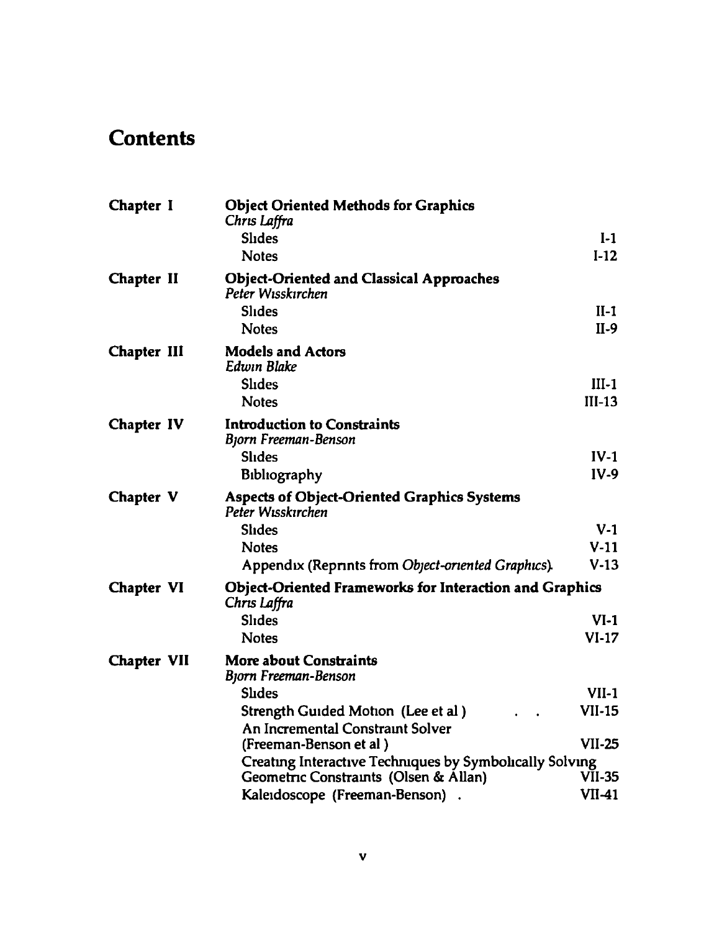## **Contents**

| Chapter I          | <b>Object Oriented Methods for Graphics</b><br>Chris Laffra                    |               |  |  |
|--------------------|--------------------------------------------------------------------------------|---------------|--|--|
|                    | <b>Shdes</b>                                                                   | $I-1$         |  |  |
|                    | <b>Notes</b>                                                                   | $I-12$        |  |  |
| Chapter II         | <b>Object-Oriented and Classical Approaches</b><br>Peter Wisskirchen           |               |  |  |
|                    | <b>Slides</b>                                                                  | $II-1$        |  |  |
|                    | <b>Notes</b>                                                                   | $II-9$        |  |  |
| Chapter III        | <b>Models and Actors</b><br>Edwin Blake                                        |               |  |  |
|                    | <b>Slides</b>                                                                  | $III-1$       |  |  |
|                    | <b>Notes</b>                                                                   | $III-13$      |  |  |
| Chapter IV         | <b>Introduction to Constraints</b><br>Bjorn Freeman-Benson                     |               |  |  |
|                    | <b>Slides</b>                                                                  | $IV-1$        |  |  |
|                    | Bibliography                                                                   | $IV-9$        |  |  |
| Chapter V          | <b>Aspects of Object-Oriented Graphics Systems</b><br>Peter Wisskirchen        |               |  |  |
|                    | <b>Slides</b>                                                                  | $V-1$         |  |  |
|                    | <b>Notes</b>                                                                   | $V-11$        |  |  |
|                    | Appendix (Reprints from Object-oriented Graphics).                             | $V-13$        |  |  |
| <b>Chapter VI</b>  | <b>Object-Oriented Frameworks for Interaction and Graphics</b><br>Chris Laffra |               |  |  |
|                    | <b>Slides</b>                                                                  | $VI-1$        |  |  |
|                    | <b>Notes</b>                                                                   | $VI-17$       |  |  |
| <b>Chapter VII</b> | <b>More about Constraints</b><br>Bjorn Freeman-Benson                          |               |  |  |
|                    | <b>Slides</b>                                                                  | $VII-1$       |  |  |
|                    | Strength Guided Motion (Lee et al)                                             | <b>VII-15</b> |  |  |
|                    | An Incremental Constraint Solver                                               |               |  |  |
|                    | (Freeman-Benson et al)                                                         | <b>VII-25</b> |  |  |
|                    | Creating Interactive Techniques by Symbolically Solving                        |               |  |  |
|                    | Geometric Constraints (Olsen & Allan)                                          | VII-35        |  |  |
|                    | Kaleidoscope (Freeman-Benson)                                                  | $VI1-41$      |  |  |